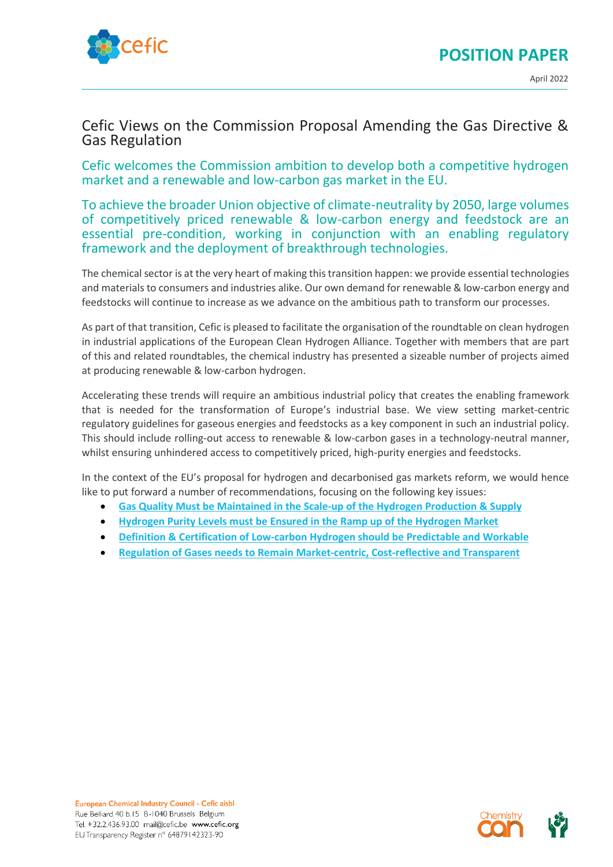

# Cefic Views on the Commission Proposal Amending the Gas Directive & Gas Regulation

Cefic welcomes the Commission ambition to develop both a competitive hydrogen market and a renewable and low-carbon gas market in the EU.

To achieve the broader Union objective of climate-neutrality by 2050, large volumes of competitively priced renewable & low-carbon energy and feedstock are an essential pre-condition, working in conjunction with an enabling regulatory framework and the deployment of breakthrough technologies.

The chemical sector is at the very heart of making this transition happen: we provide essential technologies and materials to consumers and industries alike. Our own demand for renewable & low-carbon energy and feedstocks will continue to increase as we advance on the ambitious path to transform our processes.

As part of that transition, Cefic is pleased to facilitate the organisation of the roundtable on clean hydrogen in industrial applications of the European Clean Hydrogen Alliance. Together with members that are part of this and related roundtables, the chemical industry has presented a sizeable number of projects aimed at producing renewable & low-carbon hydrogen.

Accelerating these trends will require an ambitious industrial policy that creates the enabling framework that is needed for the transformation of Europe's industrial base. We view setting market-centric regulatory guidelines for gaseous energies and feedstocks as a key component in such an industrial policy. This should include rolling-out access to renewable & low-carbon gases in a technology-neutral manner, whilst ensuring unhindered access to competitively priced, high-purity energies and feedstocks.

In the context of the EU's proposal for hydrogen and decarbonised gas markets reform, we would hence like to put forward a number of recommendations, focusing on the following key issues:

- **Gas Quality [Must be Maintained in the Scale-up of the Hydrogen Production & Supply](#page-1-0)**
- **[Hydrogen Purity Levels must be Ensured in the Ramp up of the Hydrogen Market](#page-2-0)**
- **[Definition & Certification of Low-carbon Hydrogen should be Predictable](#page-3-0) and Workable**
- **Regulation of Gases needs [to Remain Market-centric, Cost-reflective](#page-3-1) and Transparent**

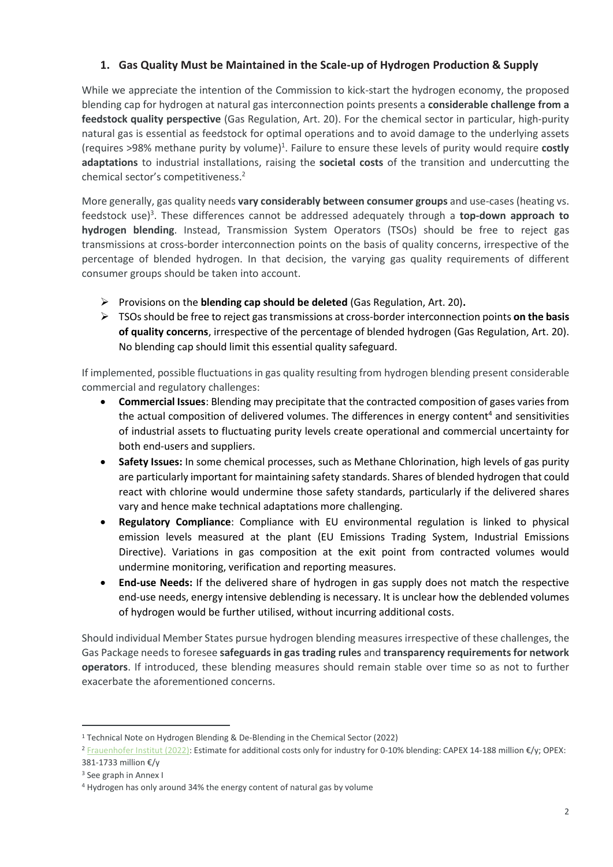# <span id="page-1-0"></span>**1. Gas Quality Must be Maintained in the Scale-up of Hydrogen Production & Supply**

While we appreciate the intention of the Commission to kick-start the hydrogen economy, the proposed blending cap for hydrogen at natural gas interconnection points presents a **considerable challenge from a feedstock quality perspective** (Gas Regulation, Art. 20). For the chemical sector in particular, high-purity natural gas is essential as feedstock for optimal operations and to avoid damage to the underlying assets (requires >98% methane purity by volume)<sup>1</sup>. Failure to ensure these levels of purity would require costly **adaptations** to industrial installations, raising the **societal costs** of the transition and undercutting the chemical sector's competitiveness.<sup>2</sup>

More generally, gas quality needs **vary considerably between consumer groups** and use-cases (heating vs. feedstock use)<sup>3</sup>. These differences cannot be addressed adequately through a top-down approach to **hydrogen blending**. Instead, Transmission System Operators (TSOs) should be free to reject gas transmissions at cross-border interconnection points on the basis of quality concerns, irrespective of the percentage of blended hydrogen. In that decision, the varying gas quality requirements of different consumer groups should be taken into account.

- ➢ Provisions on the **blending cap should be deleted** (Gas Regulation, Art. 20)**.**
- ➢ TSOs should be free to reject gas transmissions at cross-border interconnection points **on the basis of quality concerns**, irrespective of the percentage of blended hydrogen (Gas Regulation, Art. 20). No blending cap should limit this essential quality safeguard.

If implemented, possible fluctuations in gas quality resulting from hydrogen blending present considerable commercial and regulatory challenges:

- **Commercial Issues**: Blending may precipitate that the contracted composition of gases varies from the actual composition of delivered volumes. The differences in energy content<sup>4</sup> and sensitivities of industrial assets to fluctuating purity levels create operational and commercial uncertainty for both end-users and suppliers.
- **Safety Issues:** In some chemical processes, such as Methane Chlorination, high levels of gas purity are particularly important for maintaining safety standards. Shares of blended hydrogen that could react with chlorine would undermine those safety standards, particularly if the delivered shares vary and hence make technical adaptations more challenging.
- **Regulatory Compliance**: Compliance with EU environmental regulation is linked to physical emission levels measured at the plant (EU Emissions Trading System, Industrial Emissions Directive). Variations in gas composition at the exit point from contracted volumes would undermine monitoring, verification and reporting measures.
- **End-use Needs:** If the delivered share of hydrogen in gas supply does not match the respective end-use needs, energy intensive deblending is necessary. It is unclear how the deblended volumes of hydrogen would be further utilised, without incurring additional costs.

Should individual Member States pursue hydrogen blending measures irrespective of these challenges, the Gas Package needs to foresee **safeguards in gas trading rules** and **transparency requirements for network operators**. If introduced, these blending measures should remain stable over time so as not to further exacerbate the aforementioned concerns.

<sup>1</sup> Technical Note on Hydrogen Blending & De-Blending in the Chemical Sector (2022)

<sup>2</sup> [Frauenhofer Institut \(2022\):](https://www.iee.fraunhofer.de/content/dam/iee/energiesystemtechnik/en/documents/Studies-Reports/FINAL_FraunhoferIEE_ShortStudy_H2_Blending_EU_ECF_Jan22.pdf) Estimate for additional costs only for industry for 0-10% blending: CAPEX 14-188 million €/y; OPEX: 381-1733 million €/y

<sup>3</sup> See graph in Annex I

<sup>4</sup> Hydrogen has only around 34% the energy content of natural gas by volume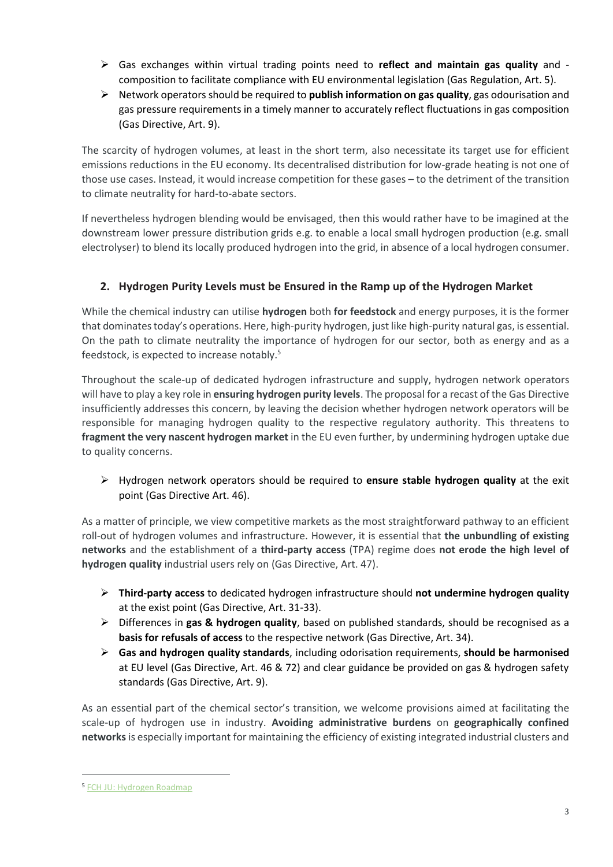- ➢ Gas exchanges within virtual trading points need to **reflect and maintain gas quality** and composition to facilitate compliance with EU environmental legislation (Gas Regulation, Art. 5).
- ➢ Network operators should be required to **publish information on gas quality**, gas odourisation and gas pressure requirements in a timely manner to accurately reflect fluctuations in gas composition (Gas Directive, Art. 9).

The scarcity of hydrogen volumes, at least in the short term, also necessitate its target use for efficient emissions reductions in the EU economy. Its decentralised distribution for low-grade heating is not one of those use cases. Instead, it would increase competition for these gases – to the detriment of the transition to climate neutrality for hard-to-abate sectors.

If nevertheless hydrogen blending would be envisaged, then this would rather have to be imagined at the downstream lower pressure distribution grids e.g. to enable a local small hydrogen production (e.g. small electrolyser) to blend its locally produced hydrogen into the grid, in absence of a local hydrogen consumer.

# <span id="page-2-0"></span>**2. Hydrogen Purity Levels must be Ensured in the Ramp up of the Hydrogen Market**

While the chemical industry can utilise **hydrogen** both **for feedstock** and energy purposes, it is the former that dominates today's operations. Here, high-purity hydrogen, just like high-purity natural gas, is essential. On the path to climate neutrality the importance of hydrogen for our sector, both as energy and as a feedstock, is expected to increase notably. 5

Throughout the scale-up of dedicated hydrogen infrastructure and supply, hydrogen network operators will have to play a key role in **ensuring hydrogen purity levels**. The proposal for a recast of the Gas Directive insufficiently addresses this concern, by leaving the decision whether hydrogen network operators will be responsible for managing hydrogen quality to the respective regulatory authority. This threatens to **fragment the very nascent hydrogen market** in the EU even further, by undermining hydrogen uptake due to quality concerns.

➢ Hydrogen network operators should be required to **ensure stable hydrogen quality** at the exit point (Gas Directive Art. 46).

As a matter of principle, we view competitive markets as the most straightforward pathway to an efficient roll-out of hydrogen volumes and infrastructure. However, it is essential that **the unbundling of existing networks** and the establishment of a **third-party access** (TPA) regime does **not erode the high level of hydrogen quality** industrial users rely on (Gas Directive, Art. 47).

- ➢ **Third-party access** to dedicated hydrogen infrastructure should **not undermine hydrogen quality** at the exist point (Gas Directive, Art. 31-33).
- ➢ Differences in **gas & hydrogen quality**, based on published standards, should be recognised as a **basis for refusals of access** to the respective network (Gas Directive, Art. 34).
- ➢ **Gas and hydrogen quality standards**, including odorisation requirements, **should be harmonised** at EU level (Gas Directive, Art. 46 & 72) and clear guidance be provided on gas & hydrogen safety standards (Gas Directive, Art. 9).

As an essential part of the chemical sector's transition, we welcome provisions aimed at facilitating the scale-up of hydrogen use in industry. **Avoiding administrative burdens** on **geographically confined networks**is especially important for maintaining the efficiency of existing integrated industrial clusters and

<sup>5</sup> [FCH JU: Hydrogen Roadmap](https://www.fch.europa.eu/sites/default/files/Hydrogen%20Roadmap%20Europe_Report.pdf)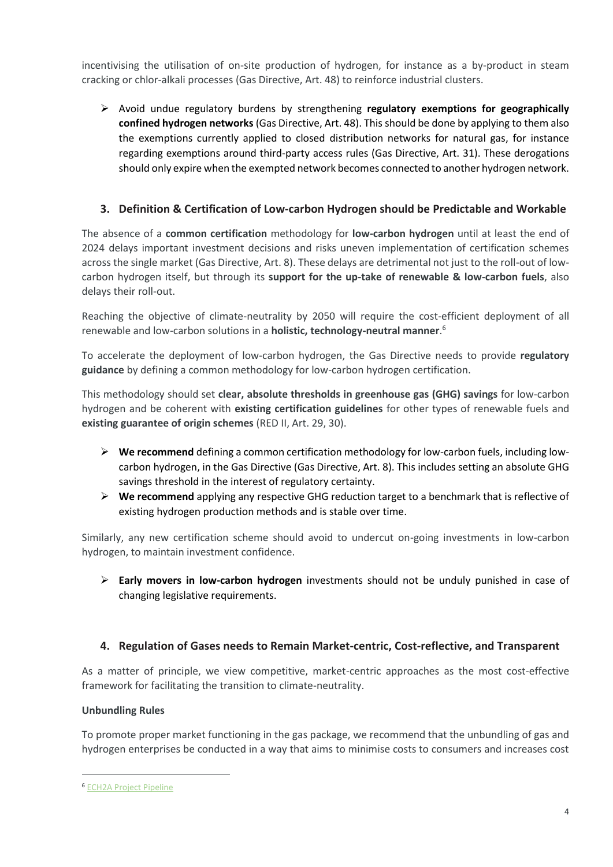incentivising the utilisation of on-site production of hydrogen, for instance as a by-product in steam cracking or chlor-alkali processes (Gas Directive, Art. 48) to reinforce industrial clusters.

➢ Avoid undue regulatory burdens by strengthening **regulatory exemptions for geographically confined hydrogen networks** (Gas Directive, Art. 48). This should be done by applying to them also the exemptions currently applied to closed distribution networks for natural gas, for instance regarding exemptions around third-party access rules (Gas Directive, Art. 31). These derogations should only expire when the exempted network becomes connected to another hydrogen network.

### <span id="page-3-0"></span>**3. Definition & Certification of Low-carbon Hydrogen should be Predictable and Workable**

The absence of a **common certification** methodology for **low-carbon hydrogen** until at least the end of 2024 delays important investment decisions and risks uneven implementation of certification schemes across the single market (Gas Directive, Art. 8). These delays are detrimental not just to the roll-out of lowcarbon hydrogen itself, but through its **support for the up-take of renewable & low-carbon fuels**, also delays their roll-out.

Reaching the objective of climate-neutrality by 2050 will require the cost-efficient deployment of all renewable and low-carbon solutions in a **holistic, technology-neutral manner**. 6

To accelerate the deployment of low-carbon hydrogen, the Gas Directive needs to provide **regulatory guidance** by defining a common methodology for low-carbon hydrogen certification.

This methodology should set **clear, absolute thresholds in greenhouse gas (GHG) savings** for low-carbon hydrogen and be coherent with **existing certification guidelines** for other types of renewable fuels and **existing guarantee of origin schemes** (RED II, Art. 29, 30).

- ➢ **We recommend** defining a common certification methodology for low-carbon fuels, including lowcarbon hydrogen, in the Gas Directive (Gas Directive, Art. 8). This includes setting an absolute GHG savings threshold in the interest of regulatory certainty.
- ➢ **We recommend** applying any respective GHG reduction target to a benchmark that is reflective of existing hydrogen production methods and is stable over time.

Similarly, any new certification scheme should avoid to undercut on-going investments in low-carbon hydrogen, to maintain investment confidence.

➢ **Early movers in low-carbon hydrogen** investments should not be unduly punished in case of changing legislative requirements.

### <span id="page-3-1"></span>**4. Regulation of Gases needs to Remain Market-centric, Cost-reflective, and Transparent**

As a matter of principle, we view competitive, market-centric approaches as the most cost-effective framework for facilitating the transition to climate-neutrality.

#### **Unbundling Rules**

To promote proper market functioning in the gas package, we recommend that the unbundling of gas and hydrogen enterprises be conducted in a way that aims to minimise costs to consumers and increases cost

<sup>6</sup> [ECH2A Project Pipeline](https://ec.europa.eu/growth/industry/strategy/industrial-alliances/european-clean-hydrogen-alliance_en)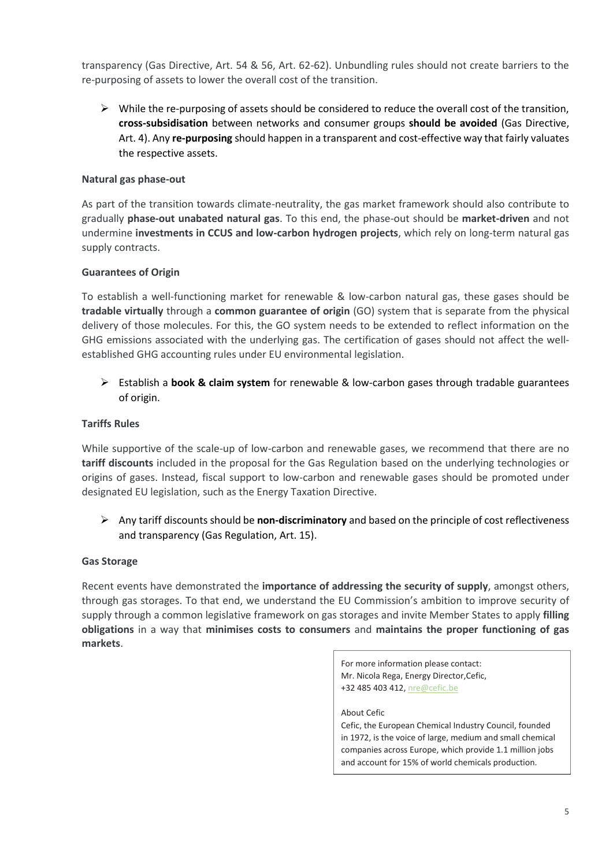transparency (Gas Directive, Art. 54 & 56, Art. 62-62). Unbundling rules should not create barriers to the re-purposing of assets to lower the overall cost of the transition.

 $\triangleright$  While the re-purposing of assets should be considered to reduce the overall cost of the transition, **cross-subsidisation** between networks and consumer groups **should be avoided** (Gas Directive, Art. 4). Any **re-purposing** should happen in a transparent and cost-effective way that fairly valuates the respective assets.

#### **Natural gas phase-out**

As part of the transition towards climate-neutrality, the gas market framework should also contribute to gradually **phase-out unabated natural gas**. To this end, the phase-out should be **market-driven** and not undermine **investments in CCUS and low-carbon hydrogen projects**, which rely on long-term natural gas supply contracts.

#### **Guarantees of Origin**

To establish a well-functioning market for renewable & low-carbon natural gas, these gases should be **tradable virtually** through a **common guarantee of origin** (GO) system that is separate from the physical delivery of those molecules. For this, the GO system needs to be extended to reflect information on the GHG emissions associated with the underlying gas. The certification of gases should not affect the wellestablished GHG accounting rules under EU environmental legislation.

➢ Establish a **book & claim system** for renewable & low-carbon gases through tradable guarantees of origin.

#### **Tariffs Rules**

While supportive of the scale-up of low-carbon and renewable gases, we recommend that there are no **tariff discounts** included in the proposal for the Gas Regulation based on the underlying technologies or origins of gases. Instead, fiscal support to low-carbon and renewable gases should be promoted under designated EU legislation, such as the Energy Taxation Directive.

➢ Any tariff discounts should be **non-discriminatory** and based on the principle of cost reflectiveness and transparency (Gas Regulation, Art. 15).

#### **Gas Storage**

Recent events have demonstrated the **importance of addressing the security of supply**, amongst others, through gas storages. To that end, we understand the EU Commission's ambition to improve security of supply through a common legislative framework on gas storages and invite Member States to apply **filling obligations** in a way that **minimises costs to consumers** and **maintains the proper functioning of gas markets**.

> For more information please contact: Mr. Nicola Rega, Energy Director,Cefic, +32 485 403 412[, nre@cefic.be](mailto:nre@cefic.be)

About Cefic Cefic, the European Chemical Industry Council, founded in 1972, is the voice of large, medium and small chemical companies across Europe, which provide 1.1 million jobs and account for 15% of world chemicals production.